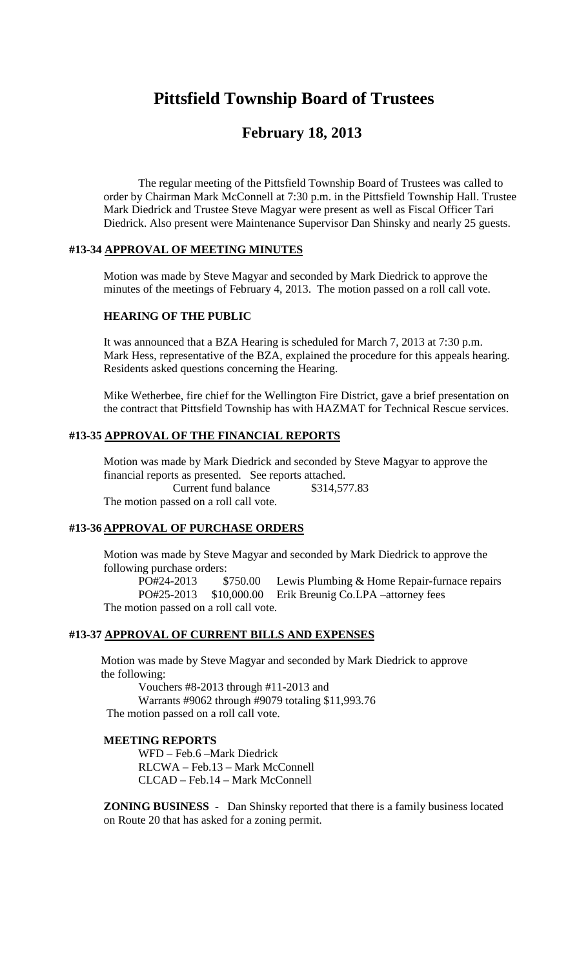# **Pittsfield Township Board of Trustees**

## **February 18, 2013**

The regular meeting of the Pittsfield Township Board of Trustees was called to order by Chairman Mark McConnell at 7:30 p.m. in the Pittsfield Township Hall. Trustee Mark Diedrick and Trustee Steve Magyar were present as well as Fiscal Officer Tari Diedrick. Also present were Maintenance Supervisor Dan Shinsky and nearly 25 guests.

## **#13-34 APPROVAL OF MEETING MINUTES**

Motion was made by Steve Magyar and seconded by Mark Diedrick to approve the minutes of the meetings of February 4, 2013. The motion passed on a roll call vote.

#### **HEARING OF THE PUBLIC**

It was announced that a BZA Hearing is scheduled for March 7, 2013 at 7:30 p.m. Mark Hess, representative of the BZA, explained the procedure for this appeals hearing. Residents asked questions concerning the Hearing.

Mike Wetherbee, fire chief for the Wellington Fire District, gave a brief presentation on the contract that Pittsfield Township has with HAZMAT for Technical Rescue services.

## **#13-35 APPROVAL OF THE FINANCIAL REPORTS**

Motion was made by Mark Diedrick and seconded by Steve Magyar to approve the financial reports as presented. See reports attached. Current fund balance \$314,577.83 The motion passed on a roll call vote.

#### **#13-36 APPROVAL OF PURCHASE ORDERS**

Motion was made by Steve Magyar and seconded by Mark Diedrick to approve the following purchase orders:

PO#24-2013 \$750.00 Lewis Plumbing & Home Repair-furnace repairs PO#25-2013 \$10,000.00 Erik Breunig Co.LPA –attorney fees The motion passed on a roll call vote.

#### **#13-37 APPROVAL OF CURRENT BILLS AND EXPENSES**

Motion was made by Steve Magyar and seconded by Mark Diedrick to approve the following:

Vouchers #8-2013 through #11-2013 and Warrants #9062 through #9079 totaling \$11,993.76 The motion passed on a roll call vote.

#### **MEETING REPORTS**

WFD – Feb.6 –Mark Diedrick RLCWA – Feb.13 – Mark McConnell CLCAD – Feb.14 – Mark McConnell

**ZONING BUSINESS -** Dan Shinsky reported that there is a family business located on Route 20 that has asked for a zoning permit.